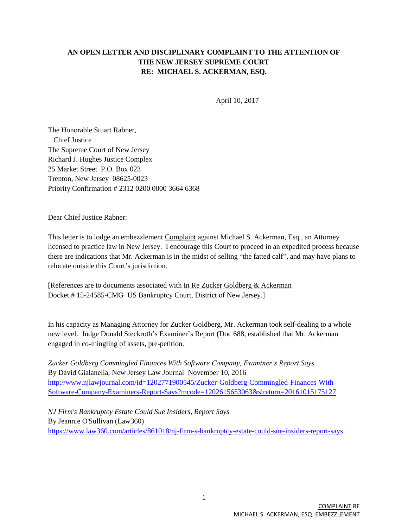## **AN OPEN LETTER AND DISCIPLINARY COMPLAINT TO THE ATTENTION OF THE NEW JERSEY SUPREME COURT RE: MICHAEL S. ACKERMAN, ESQ.**

April 10, 2017

The Honorable Stuart Rabner, Chief Justice The Supreme Court of New Jersey Richard J. Hughes Justice Complex 25 Market Street P.O. Box 023 Trenton, New Jersey 08625-0023 Priority Confirmation # 2312 0200 0000 3664 6368

Dear Chief Justice Rabner:

This letter is to lodge an embezzlement Complaint against Michael S. Ackerman, Esq., an Attorney licensed to practice law in New Jersey. I encourage this Court to proceed in an expedited process because there are indications that Mr. Ackerman is in the midst of selling "the fatted calf", and may have plans to relocate outside this Court's jurisdiction.

[References are to documents associated with In Re Zucker Goldberg & Ackerman Docket # 15-24585-CMG US Bankruptcy Court, District of New Jersey.]

In his capacity as Managing Attorney for Zucker Goldberg, Mr. Ackerman took self-dealing to a whole new level. Judge Donald Steckroth's Examiner's Report (Doc 688, established that Mr. Ackerman engaged in co-mingling of assets, pre-petition.

*Zucker Goldberg Commingled Finances With Software Company, Examiner's Report Says* By David Gialanella, New Jersey Law Journal November 10, 2016 [http://www.njlawjournal.com/id=1202771900545/Zucker-Goldberg-Commingled-Finances-With-](http://www.njlawjournal.com/id=1202771900545/Zucker-Goldberg-Commingled-Finances-With-Software-Company-Examiners-Report-Says?mcode=1202615653063&slreturn=20161015175127)[Software-Company-Examiners-Report-Says?mcode=1202615653063&slreturn=20161015175127](http://www.njlawjournal.com/id=1202771900545/Zucker-Goldberg-Commingled-Finances-With-Software-Company-Examiners-Report-Says?mcode=1202615653063&slreturn=20161015175127)

*NJ Firm's Bankruptcy Estate Could Sue Insiders, Report Says* By Jeannie O'Sullivan (Law360) <https://www.law360.com/articles/861018/nj-firm-s-bankruptcy-estate-could-sue-insiders-report-says>